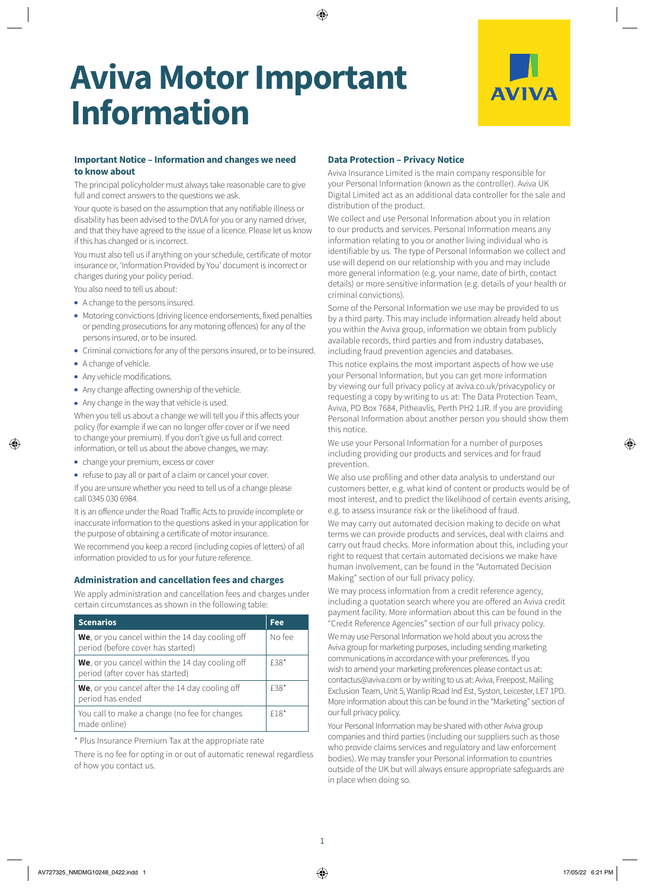# **Aviva Motor Important Information**



# **Important Notice – Information and changes we need to know about**

The principal policyholder must always take reasonable care to give full and correct answers to the questions we ask.

Your quote is based on the assumption that any notifiable illness or disability has been advised to the DVLA for you or any named driver, and that they have agreed to the issue of a licence. Please let us know if this has changed or is incorrect.

You must also tell us if anything on your schedule, certificate of motor insurance or, 'Information Provided by You' document is incorrect or changes during your policy period.

You also need to tell us about:

- A change to the persons insured.
- Motoring convictions (driving licence endorsements, fixed penalties or pending prosecutions for any motoring offences) for any of the persons insured, or to be insured.
- Criminal convictions for any of the persons insured, or to be insured.
- A change of vehicle.
- Any vehicle modifications.
- Any change affecting ownership of the vehicle.
- Any change in the way that vehicle is used.

When you tell us about a change we will tell you if this affects your policy (for example if we can no longer offer cover or if we need to change your premium). If you don't give us full and correct information, or tell us about the above changes, we may:

- change your premium, excess or cover
- refuse to pay all or part of a claim or cancel your cover.

If you are unsure whether you need to tell us of a change please call 0345 030 6984.

It is an offence under the Road Traffic Acts to provide incomplete or inaccurate information to the questions asked in your application for the purpose of obtaining a certificate of motor insurance.

We recommend you keep a record (including copies of letters) of all information provided to us for your future reference.

# **Administration and cancellation fees and charges**

We apply administration and cancellation fees and charges under certain circumstances as shown in the following table:

| <b>Scenarios</b>                                                                             | Fee.   |
|----------------------------------------------------------------------------------------------|--------|
| <b>We</b> , or you cancel within the 14 day cooling off<br>period (before cover has started) | No fee |
| We, or you cancel within the 14 day cooling off<br>period (after cover has started)          | £38*   |
| We, or you cancel after the 14 day cooling off<br>period has ended                           | £38*   |
| You call to make a change (no fee for changes<br>made online)                                | $f18*$ |

\* Plus Insurance Premium Tax at the appropriate rate

There is no fee for opting in or out of automatic renewal regardless of how you contact us.

## **Data Protection – Privacy Notice**

Aviva Insurance Limited is the main company responsible for your Personal Information (known as the controller). Aviva UK Digital Limited act as an additional data controller for the sale and distribution of the product.

We collect and use Personal Information about you in relation to our products and services. Personal Information means any information relating to you or another living individual who is identifiable by us. The type of Personal Information we collect and use will depend on our relationship with you and may include more general information (e.g. your name, date of birth, contact details) or more sensitive information (e.g. details of your health or criminal convictions).

Some of the Personal Information we use may be provided to us by a third party. This may include information already held about you within the Aviva group, information we obtain from publicly available records, third parties and from industry databases, including fraud prevention agencies and databases.

This notice explains the most important aspects of how we use your Personal Information, but you can get more information by viewing our full privacy policy at [aviva.co.uk/privacypolicy](http://www.aviva.co.uk/privacypolicy) or requesting a copy by writing to us at: The Data Protection Team, Aviva, PO Box 7684, Pitheavlis, Perth PH2 1JR. If you are providing Personal Information about another person you should show them this notice.

We use your Personal Information for a number of purposes including providing our products and services and for fraud prevention.

We also use profiling and other data analysis to understand our customers better, e.g. what kind of content or products would be of most interest, and to predict the likelihood of certain events arising, e.g. to assess insurance risk or the likelihood of fraud.

We may carry out automated decision making to decide on what terms we can provide products and services, deal with claims and carry out fraud checks. More information about this, including your right to request that certain automated decisions we make have human involvement, can be found in the "Automated Decision Making" section of our full privacy policy.

We may process information from a credit reference agency, including a quotation search where you are offered an Aviva credit payment facility. More information about this can be found in the "Credit Reference Agencies" section of our full privacy policy.

We may use Personal Information we hold about you across the Aviva group for marketing purposes, including sending marketing communications in accordance with your preferences. If you wish to amend your marketing preferences please contact us at: [contactus@aviva.com](mailto:contactus@aviva.com) or by writing to us at: Aviva, Freepost, Mailing Exclusion Team, Unit 5, Wanlip Road Ind Est, Syston, Leicester, LE7 1PD. More information about this can be found in the "Marketing" section of our full privacy policy.

Your Personal Information may be shared with other Aviva group companies and third parties (including our suppliers such as those who provide claims services and regulatory and law enforcement bodies). We may transfer your Personal Information to countries outside of the UK but will always ensure appropriate safeguards are in place when doing so.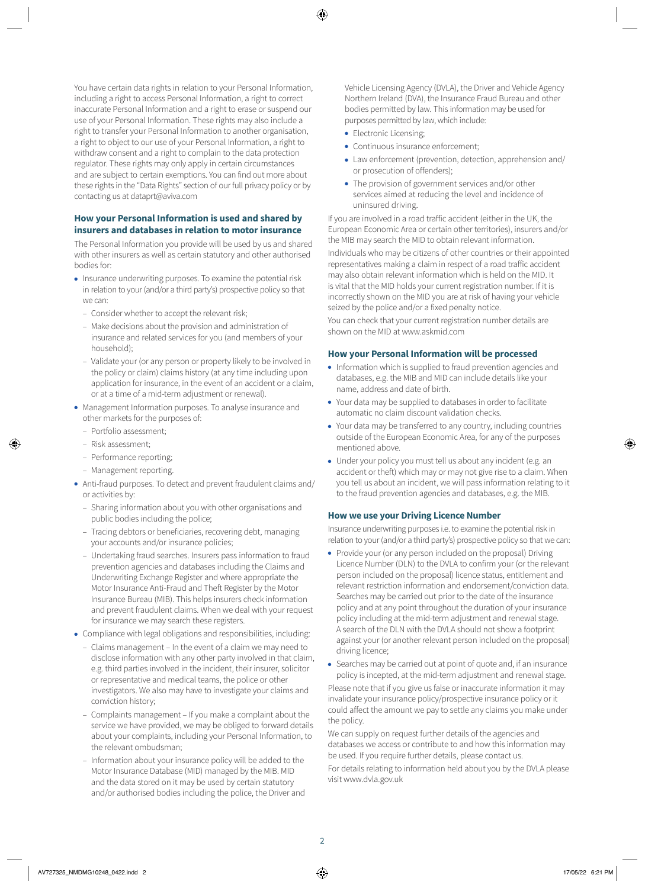You have certain data rights in relation to your Personal Information, including a right to access Personal Information, a right to correct inaccurate Personal Information and a right to erase or suspend our use of your Personal Information. These rights may also include a right to transfer your Personal Information to another organisation, a right to object to our use of your Personal Information, a right to withdraw consent and a right to complain to the data protection regulator. These rights may only apply in certain circumstances and are subject to certain exemptions. You can find out more about these rights in the "Data Rights" section of our full privacy policy or by contacting us at [dataprt@aviva.com](mailto:dataprt@aviva.com)

# **How your Personal Information is used and shared by insurers and databases in relation to motor insurance**

The Personal Information you provide will be used by us and shared with other insurers as well as certain statutory and other authorised bodies for:

- Insurance underwriting purposes. To examine the potential risk in relation to your (and/or a third party's) prospective policy so that we can:
	- Consider whether to accept the relevant risk;
	- Make decisions about the provision and administration of insurance and related services for you (and members of your household);
	- Validate your (or any person or property likely to be involved in the policy or claim) claims history (at any time including upon application for insurance, in the event of an accident or a claim, or at a time of a mid-term adjustment or renewal).
- Management Information purposes. To analyse insurance and other markets for the purposes of:
	- Portfolio assessment;
	- Risk assessment;
	- Performance reporting;
	- Management reporting.
- Anti-fraud purposes. To detect and prevent fraudulent claims and/ or activities by:
	- Sharing information about you with other organisations and public bodies including the police;
	- Tracing debtors or beneficiaries, recovering debt, managing your accounts and/or insurance policies;
	- Undertaking fraud searches. Insurers pass information to fraud prevention agencies and databases including the Claims and Underwriting Exchange Register and where appropriate the Motor Insurance Anti-Fraud and Theft Register by the Motor Insurance Bureau (MIB). This helps insurers check information and prevent fraudulent claims. When we deal with your request for insurance we may search these registers.
- Compliance with legal obligations and responsibilities, including:
- Claims management In the event of a claim we may need to disclose information with any other party involved in that claim, e.g. third parties involved in the incident, their insurer, solicitor or representative and medical teams, the police or other investigators. We also may have to investigate your claims and conviction history;
- Complaints management If you make a complaint about the service we have provided, we may be obliged to forward details about your complaints, including your Personal Information, to the relevant ombudsman;
- Information about your insurance policy will be added to the Motor Insurance Database (MID) managed by the MIB. MID and the data stored on it may be used by certain statutory and/or authorised bodies including the police, the Driver and

Vehicle Licensing Agency (DVLA), the Driver and Vehicle Agency Northern Ireland (DVA), the Insurance Fraud Bureau and other bodies permitted by law. This information may be used for purposes permitted by law, which include:

- Electronic Licensing;
- Continuous insurance enforcement;
- Law enforcement (prevention, detection, apprehension and/ or prosecution of offenders);
- The provision of government services and/or other services aimed at reducing the level and incidence of uninsured driving.

If you are involved in a road traffic accident (either in the UK, the European Economic Area or certain other territories), insurers and/or the MIB may search the MID to obtain relevant information.

Individuals who may be citizens of other countries or their appointed representatives making a claim in respect of a road traffic accident may also obtain relevant information which is held on the MID. It is vital that the MID holds your current registration number. If it is incorrectly shown on the MID you are at risk of having your vehicle seized by the police and/or a fixed penalty notice.

You can check that your current registration number details are shown on the MID at [www.askmid.com](http://www.askmid.com)

### **How your Personal Information will be processed**

- Information which is supplied to fraud prevention agencies and databases, e.g. the MIB and MID can include details like your name, address and date of birth.
- Your data may be supplied to databases in order to facilitate automatic no claim discount validation checks.
- Your data may be transferred to any country, including countries outside of the European Economic Area, for any of the purposes mentioned above.
- Under your policy you must tell us about any incident (e.g. an accident or theft) which may or may not give rise to a claim. When you tell us about an incident, we will pass information relating to it to the fraud prevention agencies and databases, e.g. the MIB.

#### **How we use your Driving Licence Number**

Insurance underwriting purposes i.e. to examine the potential risk in relation to your (and/or a third party's) prospective policy so that we can:

- Provide your (or any person included on the proposal) Driving Licence Number (DLN) to the DVLA to confirm your (or the relevant person included on the proposal) licence status, entitlement and relevant restriction information and endorsement/conviction data. Searches may be carried out prior to the date of the insurance policy and at any point throughout the duration of your insurance policy including at the mid-term adjustment and renewal stage. A search of the DLN with the DVLA should not show a footprint against your (or another relevant person included on the proposal) driving licence;
- Searches may be carried out at point of quote and, if an insurance policy is incepted, at the mid-term adjustment and renewal stage.

Please note that if you give us false or inaccurate information it may invalidate your insurance policy/prospective insurance policy or it could affect the amount we pay to settle any claims you make under the policy.

We can supply on request further details of the agencies and databases we access or contribute to and how this information may be used. If you require further details, please contact us.

For details relating to information held about you by the DVLA please visit <www.dvla.gov.uk>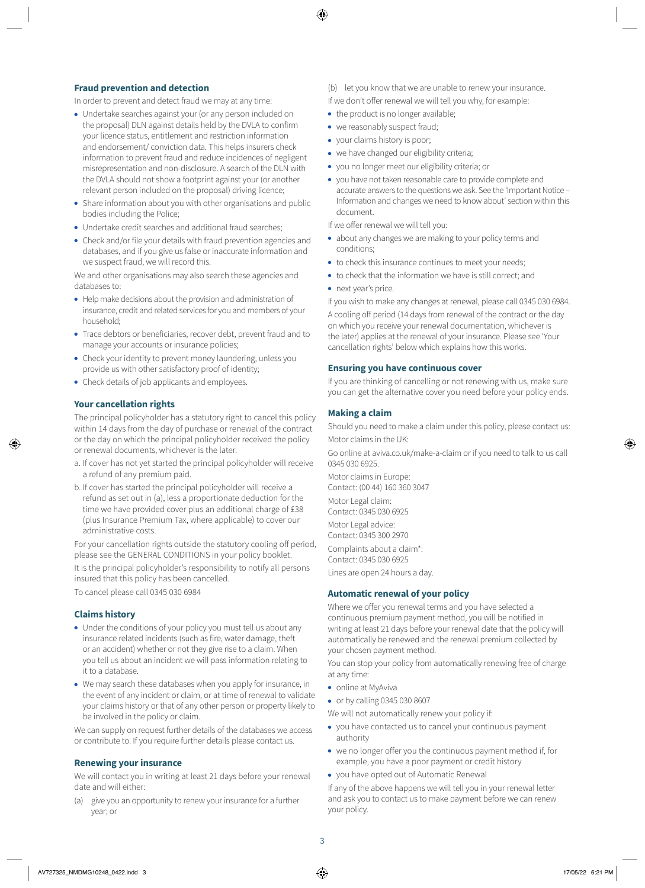## **Fraud prevention and detection**

In order to prevent and detect fraud we may at any time:

- Undertake searches against your (or any person included on the proposal) DLN against details held by the DVLA to confirm your licence status, entitlement and restriction information and endorsement/ conviction data. This helps insurers check information to prevent fraud and reduce incidences of negligent misrepresentation and non-disclosure. A search of the DLN with the DVLA should not show a footprint against your (or another relevant person included on the proposal) driving licence;
- Share information about you with other organisations and public bodies including the Police;
- Undertake credit searches and additional fraud searches;
- Check and/or file your details with fraud prevention agencies and databases, and if you give us false or inaccurate information and we suspect fraud, we will record this.

We and other organisations may also search these agencies and databases to:

- Help make decisions about the provision and administration of insurance, credit and related services for you and members of your household;
- Trace debtors or beneficiaries, recover debt, prevent fraud and to manage your accounts or insurance policies;
- Check your identity to prevent money laundering, unless you provide us with other satisfactory proof of identity;
- Check details of job applicants and employees.

#### **Your cancellation rights**

The principal policyholder has a statutory right to cancel this policy within 14 days from the day of purchase or renewal of the contract or the day on which the principal policyholder received the policy or renewal documents, whichever is the later.

- a. If cover has not yet started the principal policyholder will receive a refund of any premium paid.
- b. If cover has started the principal policyholder will receive a refund as set out in (a), less a proportionate deduction for the time we have provided cover plus an additional charge of £38 (plus Insurance Premium Tax, where applicable) to cover our administrative costs.

For your cancellation rights outside the statutory cooling off period, please see the GENERAL CONDITIONS in your policy booklet.

It is the principal policyholder's responsibility to notify all persons insured that this policy has been cancelled.

To cancel please call 0345 030 6984

# **Claims history**

- Under the conditions of your policy you must tell us about any insurance related incidents (such as fire, water damage, theft or an accident) whether or not they give rise to a claim. When you tell us about an incident we will pass information relating to it to a database.
- We may search these databases when you apply for insurance, in the event of any incident or claim, or at time of renewal to validate your claims history or that of any other person or property likely to be involved in the policy or claim.

We can supply on request further details of the databases we access or contribute to. If you require further details please contact us.

#### **Renewing your insurance**

We will contact you in writing at least 21 days before your renewal date and will either:

(a) give you an opportunity to renew your insurance for a further year; or

- (b) let you know that we are unable to renew your insurance.
- If we don't offer renewal we will tell you why, for example:
- the product is no longer available;
- we reasonably suspect fraud;
- your claims history is poor;
- we have changed our eligibility criteria;
- you no longer meet our eligibility criteria; or
- you have not taken reasonable care to provide complete and accurate answers to the questions we ask. See the 'Important Notice – Information and changes we need to know about' section within this document.

If we offer renewal we will tell you:

- about any changes we are making to your policy terms and conditions;
- to check this insurance continues to meet your needs;
- to check that the information we have is still correct; and
- next year's price.

If you wish to make any changes at renewal, please call 0345 030 6984.

A cooling off period (14 days from renewal of the contract or the day on which you receive your renewal documentation, whichever is the later) applies at the renewal of your insurance. Please see 'Your cancellation rights' below which explains how this works.

#### **Ensuring you have continuous cover**

If you are thinking of cancelling or not renewing with us, make sure you can get the alternative cover you need before your policy ends.

#### **Making a claim**

Should you need to make a claim under this policy, please contact us: Motor claims in the UK:

Go online at [aviva.co.uk/make-a-claim](http://aviva.co.uk/make-a-claim) or if you need to talk to us call 0345 030 6925.

Motor claims in Europe: Contact: (00 44) 160 360 3047

Motor Legal claim:

Contact: 0345 030 6925

Motor Legal advice: Contact: 0345 300 2970

Complaints about a claim\*:

Contact: 0345 030 6925

Lines are open 24 hours a day.

# **Automatic renewal of your policy**

Where we offer you renewal terms and you have selected a continuous premium payment method, you will be notified in writing at least 21 days before your renewal date that the policy will automatically be renewed and the renewal premium collected by your chosen payment method.

You can stop your policy from automatically renewing free of charge at any time:

- online at MyAviva
- or by calling 0345 030 8607

We will not automatically renew your policy if:

- you have contacted us to cancel your continuous payment authority
- we no longer offer you the continuous payment method if, for example, you have a poor payment or credit history
- you have opted out of Automatic Renewal

If any of the above happens we will tell you in your renewal letter and ask you to contact us to make payment before we can renew your policy.